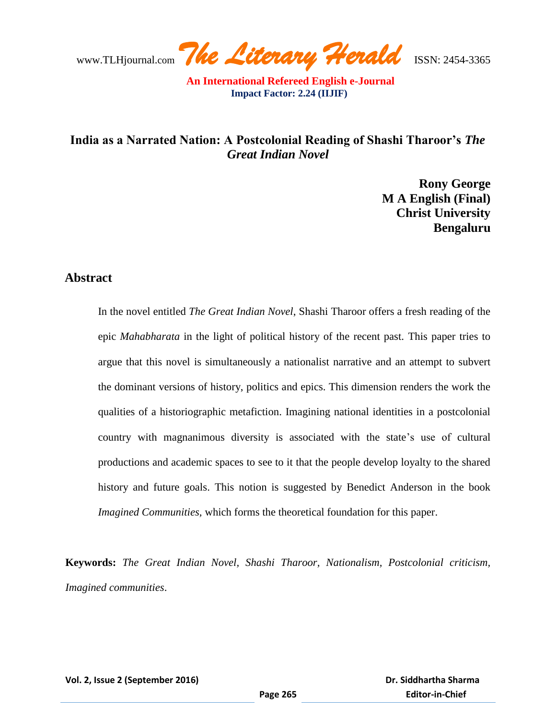# **India as a Narrated Nation: A Postcolonial Reading of Shashi Tharoor's** *The Great Indian Novel*

**Rony George M A English (Final) Christ University Bengaluru**

## **Abstract**

In the novel entitled *The Great Indian Novel*, Shashi Tharoor offers a fresh reading of the epic *Mahabharata* in the light of political history of the recent past. This paper tries to argue that this novel is simultaneously a nationalist narrative and an attempt to subvert the dominant versions of history, politics and epics. This dimension renders the work the qualities of a historiographic metafiction. Imagining national identities in a postcolonial country with magnanimous diversity is associated with the state's use of cultural productions and academic spaces to see to it that the people develop loyalty to the shared history and future goals. This notion is suggested by Benedict Anderson in the book *Imagined Communities,* which forms the theoretical foundation for this paper.

**Keywords:** *The Great Indian Novel, Shashi Tharoor, Nationalism, Postcolonial criticism, Imagined communities*.

**Vol. 2, Issue 2 (September 2016)**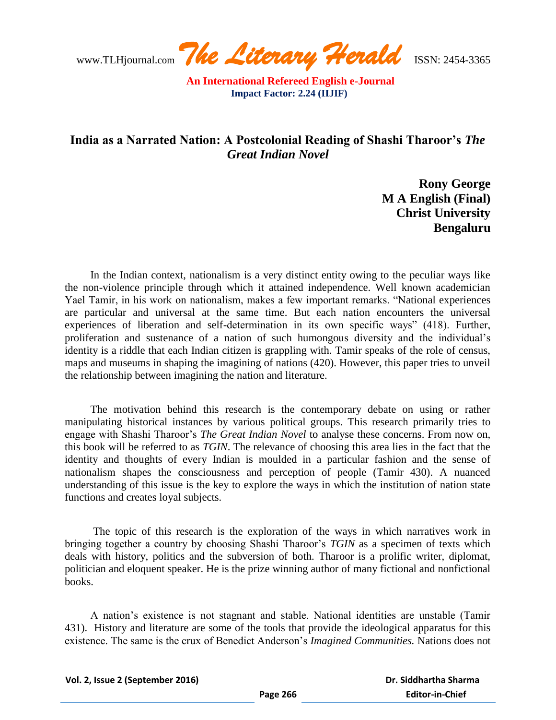www.TLHjournal.com *The Literary Herald*ISSN: 2454-3365

# **India as a Narrated Nation: A Postcolonial Reading of Shashi Tharoor's** *The Great Indian Novel*

**Rony George M A English (Final) Christ University Bengaluru**

In the Indian context, nationalism is a very distinct entity owing to the peculiar ways like the non-violence principle through which it attained independence. Well known academician Yael Tamir, in his work on nationalism, makes a few important remarks. "National experiences are particular and universal at the same time. But each nation encounters the universal experiences of liberation and self-determination in its own specific ways" (418). Further, proliferation and sustenance of a nation of such humongous diversity and the individual"s identity is a riddle that each Indian citizen is grappling with. Tamir speaks of the role of census, maps and museums in shaping the imagining of nations (420). However, this paper tries to unveil the relationship between imagining the nation and literature.

The motivation behind this research is the contemporary debate on using or rather manipulating historical instances by various political groups. This research primarily tries to engage with Shashi Tharoor's *The Great Indian Novel* to analyse these concerns. From now on, this book will be referred to as *TGIN*. The relevance of choosing this area lies in the fact that the identity and thoughts of every Indian is moulded in a particular fashion and the sense of nationalism shapes the consciousness and perception of people (Tamir 430). A nuanced understanding of this issue is the key to explore the ways in which the institution of nation state functions and creates loyal subjects.

The topic of this research is the exploration of the ways in which narratives work in bringing together a country by choosing Shashi Tharoor's *TGIN* as a specimen of texts which deals with history, politics and the subversion of both. Tharoor is a prolific writer, diplomat, politician and eloquent speaker. He is the prize winning author of many fictional and nonfictional books.

A nation"s existence is not stagnant and stable. National identities are unstable (Tamir 431). History and literature are some of the tools that provide the ideological apparatus for this existence. The same is the crux of Benedict Anderson"s *Imagined Communities.* Nations does not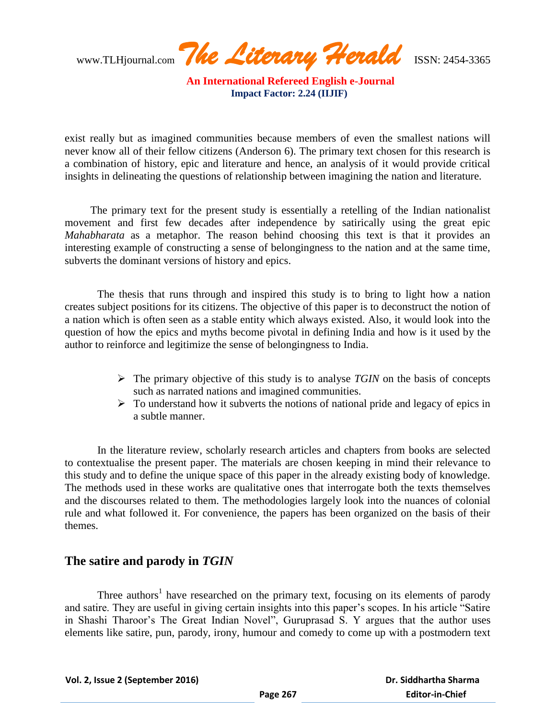www.TLHjournal.com *The Literary Herald*ISSN: 2454-3365

exist really but as imagined communities because members of even the smallest nations will never know all of their fellow citizens (Anderson 6). The primary text chosen for this research is a combination of history, epic and literature and hence, an analysis of it would provide critical insights in delineating the questions of relationship between imagining the nation and literature.

The primary text for the present study is essentially a retelling of the Indian nationalist movement and first few decades after independence by satirically using the great epic *Mahabharata* as a metaphor. The reason behind choosing this text is that it provides an interesting example of constructing a sense of belongingness to the nation and at the same time, subverts the dominant versions of history and epics.

The thesis that runs through and inspired this study is to bring to light how a nation creates subject positions for its citizens. The objective of this paper is to deconstruct the notion of a nation which is often seen as a stable entity which always existed. Also, it would look into the question of how the epics and myths become pivotal in defining India and how is it used by the author to reinforce and legitimize the sense of belongingness to India.

- $\triangleright$  The primary objective of this study is to analyse *TGIN* on the basis of concepts such as narrated nations and imagined communities.
- $\triangleright$  To understand how it subverts the notions of national pride and legacy of epics in a subtle manner.

In the literature review, scholarly research articles and chapters from books are selected to contextualise the present paper. The materials are chosen keeping in mind their relevance to this study and to define the unique space of this paper in the already existing body of knowledge. The methods used in these works are qualitative ones that interrogate both the texts themselves and the discourses related to them. The methodologies largely look into the nuances of colonial rule and what followed it. For convenience, the papers has been organized on the basis of their themes.

## **The satire and parody in** *TGIN*

Three authors<sup>1</sup> have researched on the primary text, focusing on its elements of parody and satire. They are useful in giving certain insights into this paper's scopes. In his article "Satire" in Shashi Tharoor"s The Great Indian Novel", Guruprasad S. Y argues that the author uses elements like satire, pun, parody, irony, humour and comedy to come up with a postmodern text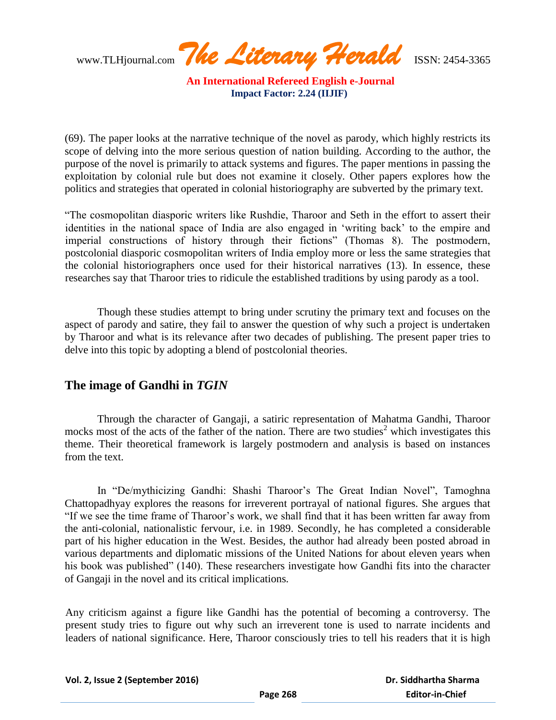www.TLHjournal.com *The Literary Herald*ISSN: 2454-3365

(69). The paper looks at the narrative technique of the novel as parody, which highly restricts its scope of delving into the more serious question of nation building. According to the author, the purpose of the novel is primarily to attack systems and figures. The paper mentions in passing the exploitation by colonial rule but does not examine it closely. Other papers explores how the politics and strategies that operated in colonial historiography are subverted by the primary text.

"The cosmopolitan diasporic writers like Rushdie, Tharoor and Seth in the effort to assert their identities in the national space of India are also engaged in "writing back" to the empire and imperial constructions of history through their fictions" (Thomas 8). The postmodern, postcolonial diasporic cosmopolitan writers of India employ more or less the same strategies that the colonial historiographers once used for their historical narratives (13). In essence, these researches say that Tharoor tries to ridicule the established traditions by using parody as a tool.

Though these studies attempt to bring under scrutiny the primary text and focuses on the aspect of parody and satire, they fail to answer the question of why such a project is undertaken by Tharoor and what is its relevance after two decades of publishing. The present paper tries to delve into this topic by adopting a blend of postcolonial theories.

## **The image of Gandhi in** *TGIN*

Through the character of Gangaji, a satiric representation of Mahatma Gandhi, Tharoor mocks most of the acts of the father of the nation. There are two studies<sup>2</sup> which investigates this theme. Their theoretical framework is largely postmodern and analysis is based on instances from the text.

In "De/mythicizing Gandhi: Shashi Tharoor's The Great Indian Novel", Tamoghna Chattopadhyay explores the reasons for irreverent portrayal of national figures. She argues that "If we see the time frame of Tharoor"s work, we shall find that it has been written far away from the anti-colonial, nationalistic fervour, i.e. in 1989. Secondly, he has completed a considerable part of his higher education in the West. Besides, the author had already been posted abroad in various departments and diplomatic missions of the United Nations for about eleven years when his book was published" (140). These researchers investigate how Gandhi fits into the character of Gangaji in the novel and its critical implications*.*

Any criticism against a figure like Gandhi has the potential of becoming a controversy. The present study tries to figure out why such an irreverent tone is used to narrate incidents and leaders of national significance. Here, Tharoor consciously tries to tell his readers that it is high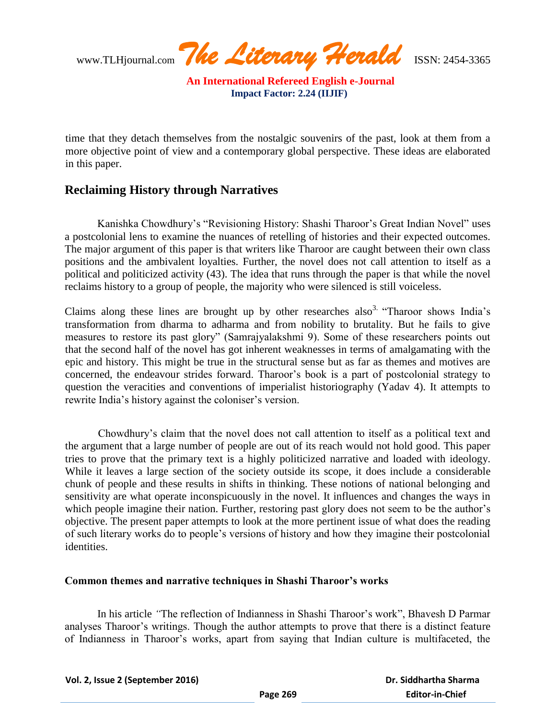www.TLHjournal.com *The Literary Herald*ISSN: 2454-3365

time that they detach themselves from the nostalgic souvenirs of the past, look at them from a more objective point of view and a contemporary global perspective. These ideas are elaborated in this paper.

### **Reclaiming History through Narratives**

Kanishka Chowdhury's "Revisioning History: Shashi Tharoor's Great Indian Novel" uses a postcolonial lens to examine the nuances of retelling of histories and their expected outcomes. The major argument of this paper is that writers like Tharoor are caught between their own class positions and the ambivalent loyalties. Further, the novel does not call attention to itself as a political and politicized activity (43). The idea that runs through the paper is that while the novel reclaims history to a group of people, the majority who were silenced is still voiceless.

Claims along these lines are brought up by other researches also<sup>3.</sup> "Tharoor shows India's transformation from dharma to adharma and from nobility to brutality. But he fails to give measures to restore its past glory" (Samrajyalakshmi 9). Some of these researchers points out that the second half of the novel has got inherent weaknesses in terms of amalgamating with the epic and history. This might be true in the structural sense but as far as themes and motives are concerned, the endeavour strides forward. Tharoor"s book is a part of postcolonial strategy to question the veracities and conventions of imperialist historiography (Yadav 4). It attempts to rewrite India's history against the coloniser's version.

Chowdhury"s claim that the novel does not call attention to itself as a political text and the argument that a large number of people are out of its reach would not hold good. This paper tries to prove that the primary text is a highly politicized narrative and loaded with ideology. While it leaves a large section of the society outside its scope, it does include a considerable chunk of people and these results in shifts in thinking. These notions of national belonging and sensitivity are what operate inconspicuously in the novel. It influences and changes the ways in which people imagine their nation. Further, restoring past glory does not seem to be the author's objective. The present paper attempts to look at the more pertinent issue of what does the reading of such literary works do to people"s versions of history and how they imagine their postcolonial identities.

#### **Common themes and narrative techniques in Shashi Tharoor's works**

In his article "The reflection of Indianness in Shashi Tharoor's work", Bhavesh D Parmar analyses Tharoor"s writings. Though the author attempts to prove that there is a distinct feature of Indianness in Tharoor"s works, apart from saying that Indian culture is multifaceted, the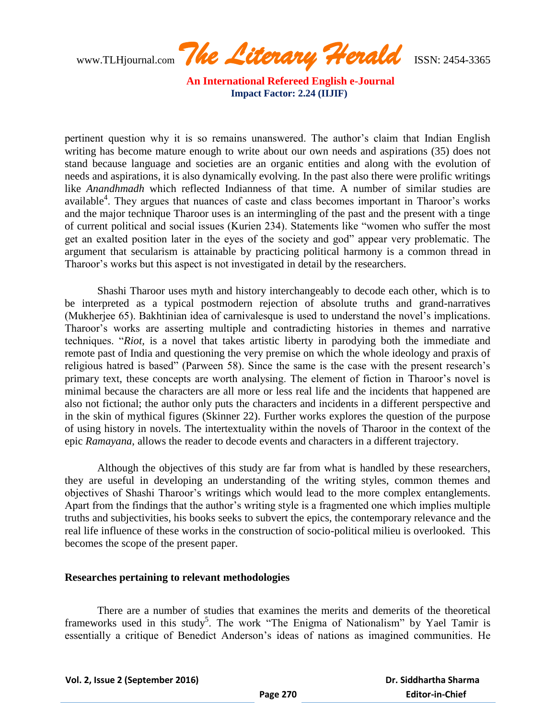www.TLHjournal.com *The Literary Herald*ISSN: 2454-3365

pertinent question why it is so remains unanswered. The author"s claim that Indian English writing has become mature enough to write about our own needs and aspirations (35) does not stand because language and societies are an organic entities and along with the evolution of needs and aspirations, it is also dynamically evolving. In the past also there were prolific writings like *Anandhmadh* which reflected Indianness of that time. A number of similar studies are available<sup>4</sup>. They argues that nuances of caste and class becomes important in Tharoor's works and the major technique Tharoor uses is an intermingling of the past and the present with a tinge of current political and social issues (Kurien 234). Statements like "women who suffer the most get an exalted position later in the eyes of the society and god" appear very problematic. The argument that secularism is attainable by practicing political harmony is a common thread in Tharoor"s works but this aspect is not investigated in detail by the researchers.

Shashi Tharoor uses myth and history interchangeably to decode each other, which is to be interpreted as a typical postmodern rejection of absolute truths and grand-narratives (Mukherjee 65). Bakhtinian idea of carnivalesque is used to understand the novel"s implications. Tharoor"s works are asserting multiple and contradicting histories in themes and narrative techniques. "*Riot,* is a novel that takes artistic liberty in parodying both the immediate and remote past of India and questioning the very premise on which the whole ideology and praxis of religious hatred is based" (Parween 58). Since the same is the case with the present research"s primary text, these concepts are worth analysing. The element of fiction in Tharoor"s novel is minimal because the characters are all more or less real life and the incidents that happened are also not fictional; the author only puts the characters and incidents in a different perspective and in the skin of mythical figures (Skinner 22). Further works explores the question of the purpose of using history in novels. The intertextuality within the novels of Tharoor in the context of the epic *Ramayana*, allows the reader to decode events and characters in a different trajectory.

Although the objectives of this study are far from what is handled by these researchers, they are useful in developing an understanding of the writing styles, common themes and objectives of Shashi Tharoor"s writings which would lead to the more complex entanglements. Apart from the findings that the author"s writing style is a fragmented one which implies multiple truths and subjectivities, his books seeks to subvert the epics, the contemporary relevance and the real life influence of these works in the construction of socio-political milieu is overlooked. This becomes the scope of the present paper.

#### **Researches pertaining to relevant methodologies**

There are a number of studies that examines the merits and demerits of the theoretical frameworks used in this study<sup>5</sup>. The work "The Enigma of Nationalism" by Yael Tamir is essentially a critique of Benedict Anderson"s ideas of nations as imagined communities. He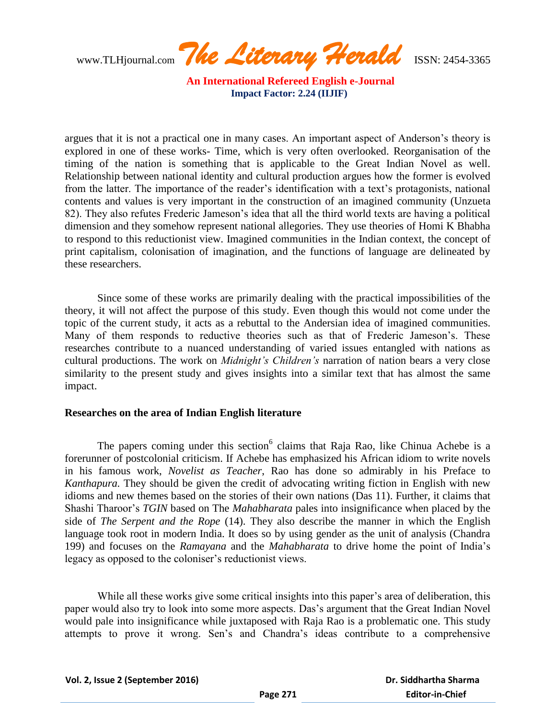www.TLHjournal.com *The Literary Herald*ISSN: 2454-3365

argues that it is not a practical one in many cases. An important aspect of Anderson"s theory is explored in one of these works- Time, which is very often overlooked. Reorganisation of the timing of the nation is something that is applicable to the Great Indian Novel as well. Relationship between national identity and cultural production argues how the former is evolved from the latter. The importance of the reader"s identification with a text"s protagonists, national contents and values is very important in the construction of an imagined community (Unzueta 82). They also refutes Frederic Jameson"s idea that all the third world texts are having a political dimension and they somehow represent national allegories. They use theories of Homi K Bhabha to respond to this reductionist view. Imagined communities in the Indian context, the concept of print capitalism, colonisation of imagination, and the functions of language are delineated by these researchers.

Since some of these works are primarily dealing with the practical impossibilities of the theory, it will not affect the purpose of this study. Even though this would not come under the topic of the current study, it acts as a rebuttal to the Andersian idea of imagined communities. Many of them responds to reductive theories such as that of Frederic Jameson"s. These researches contribute to a nuanced understanding of varied issues entangled with nations as cultural productions. The work on *Midnight's Children's* narration of nation bears a very close similarity to the present study and gives insights into a similar text that has almost the same impact.

#### **Researches on the area of Indian English literature**

The papers coming under this section<sup>6</sup> claims that Raja Rao, like Chinua Achebe is a forerunner of postcolonial criticism. If Achebe has emphasized his African idiom to write novels in his famous work, *Novelist as Teacher*, Rao has done so admirably in his Preface to *Kanthapura.* They should be given the credit of advocating writing fiction in English with new idioms and new themes based on the stories of their own nations (Das 11). Further, it claims that Shashi Tharoor"s *TGIN* based on The *Mahabharata* pales into insignificance when placed by the side of *The Serpent and the Rope* (14). They also describe the manner in which the English language took root in modern India. It does so by using gender as the unit of analysis (Chandra 199) and focuses on the *Ramayana* and the *Mahabharata* to drive home the point of India"s legacy as opposed to the coloniser's reductionist views.

While all these works give some critical insights into this paper's area of deliberation, this paper would also try to look into some more aspects. Das"s argument that the Great Indian Novel would pale into insignificance while juxtaposed with Raja Rao is a problematic one. This study attempts to prove it wrong. Sen"s and Chandra"s ideas contribute to a comprehensive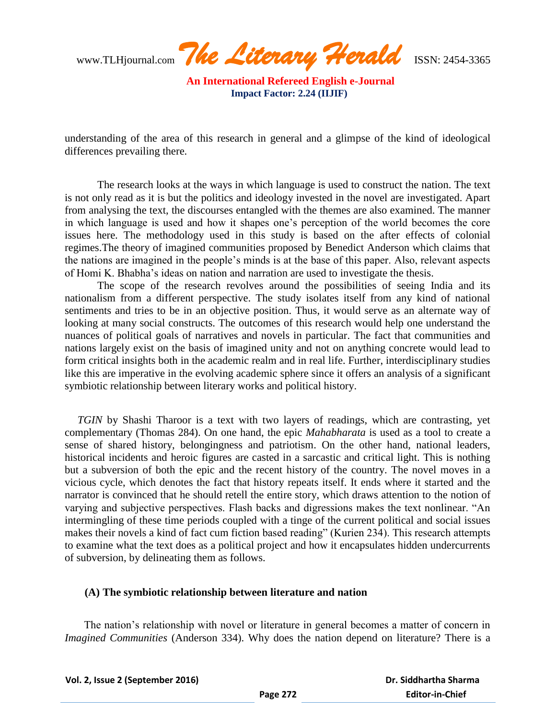www.TLHjournal.com *The Literary Herald*ISSN: 2454-3365

understanding of the area of this research in general and a glimpse of the kind of ideological differences prevailing there.

The research looks at the ways in which language is used to construct the nation. The text is not only read as it is but the politics and ideology invested in the novel are investigated. Apart from analysing the text, the discourses entangled with the themes are also examined. The manner in which language is used and how it shapes one"s perception of the world becomes the core issues here. The methodology used in this study is based on the after effects of colonial regimes.The theory of imagined communities proposed by Benedict Anderson which claims that the nations are imagined in the people"s minds is at the base of this paper. Also, relevant aspects of Homi K. Bhabha"s ideas on nation and narration are used to investigate the thesis.

The scope of the research revolves around the possibilities of seeing India and its nationalism from a different perspective. The study isolates itself from any kind of national sentiments and tries to be in an objective position. Thus, it would serve as an alternate way of looking at many social constructs. The outcomes of this research would help one understand the nuances of political goals of narratives and novels in particular. The fact that communities and nations largely exist on the basis of imagined unity and not on anything concrete would lead to form critical insights both in the academic realm and in real life. Further, interdisciplinary studies like this are imperative in the evolving academic sphere since it offers an analysis of a significant symbiotic relationship between literary works and political history.

*TGIN* by Shashi Tharoor is a text with two layers of readings, which are contrasting, yet complementary (Thomas 284). On one hand, the epic *Mahabharata* is used as a tool to create a sense of shared history, belongingness and patriotism. On the other hand, national leaders, historical incidents and heroic figures are casted in a sarcastic and critical light. This is nothing but a subversion of both the epic and the recent history of the country. The novel moves in a vicious cycle, which denotes the fact that history repeats itself. It ends where it started and the narrator is convinced that he should retell the entire story, which draws attention to the notion of varying and subjective perspectives. Flash backs and digressions makes the text nonlinear. "An intermingling of these time periods coupled with a tinge of the current political and social issues makes their novels a kind of fact cum fiction based reading" (Kurien 234). This research attempts to examine what the text does as a political project and how it encapsulates hidden undercurrents of subversion, by delineating them as follows.

#### **(A) The symbiotic relationship between literature and nation**

The nation's relationship with novel or literature in general becomes a matter of concern in *Imagined Communities* (Anderson 334). Why does the nation depend on literature? There is a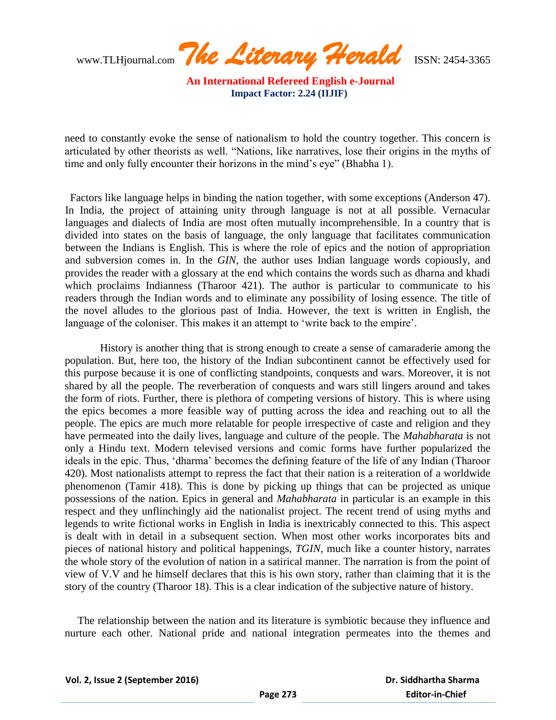www.TLHjournal.com *The Literary Herald*ISSN: 2454-3365

need to constantly evoke the sense of nationalism to hold the country together. This concern is articulated by other theorists as well. "Nations, like narratives, lose their origins in the myths of time and only fully encounter their horizons in the mind's eye" (Bhabha 1).

 Factors like language helps in binding the nation together, with some exceptions (Anderson 47). In India, the project of attaining unity through language is not at all possible. Vernacular languages and dialects of India are most often mutually incomprehensible. In a country that is divided into states on the basis of language, the only language that facilitates communication between the Indians is English. This is where the role of epics and the notion of appropriation and subversion comes in. In the *GIN*, the author uses Indian language words copiously, and provides the reader with a glossary at the end which contains the words such as dharna and khadi which proclaims Indianness (Tharoor 421). The author is particular to communicate to his readers through the Indian words and to eliminate any possibility of losing essence. The title of the novel alludes to the glorious past of India. However, the text is written in English, the language of the coloniser. This makes it an attempt to 'write back to the empire'.

History is another thing that is strong enough to create a sense of camaraderie among the population. But, here too, the history of the Indian subcontinent cannot be effectively used for this purpose because it is one of conflicting standpoints, conquests and wars. Moreover, it is not shared by all the people. The reverberation of conquests and wars still lingers around and takes the form of riots. Further, there is plethora of competing versions of history. This is where using the epics becomes a more feasible way of putting across the idea and reaching out to all the people. The epics are much more relatable for people irrespective of caste and religion and they have permeated into the daily lives, language and culture of the people. The *Mahabharata* is not only a Hindu text. Modern televised versions and comic forms have further popularized the ideals in the epic. Thus, "dharma" becomes the defining feature of the life of any Indian (Tharoor 420). Most nationalists attempt to repress the fact that their nation is a reiteration of a worldwide phenomenon (Tamir 418). This is done by picking up things that can be projected as unique possessions of the nation. Epics in general and *Mahabharata* in particular is an example in this respect and they unflinchingly aid the nationalist project. The recent trend of using myths and legends to write fictional works in English in India is inextricably connected to this. This aspect is dealt with in detail in a subsequent section. When most other works incorporates bits and pieces of national history and political happenings, *TGIN*, much like a counter history, narrates the whole story of the evolution of nation in a satirical manner. The narration is from the point of view of V.V and he himself declares that this is his own story, rather than claiming that it is the story of the country (Tharoor 18). This is a clear indication of the subjective nature of history.

The relationship between the nation and its literature is symbiotic because they influence and nurture each other. National pride and national integration permeates into the themes and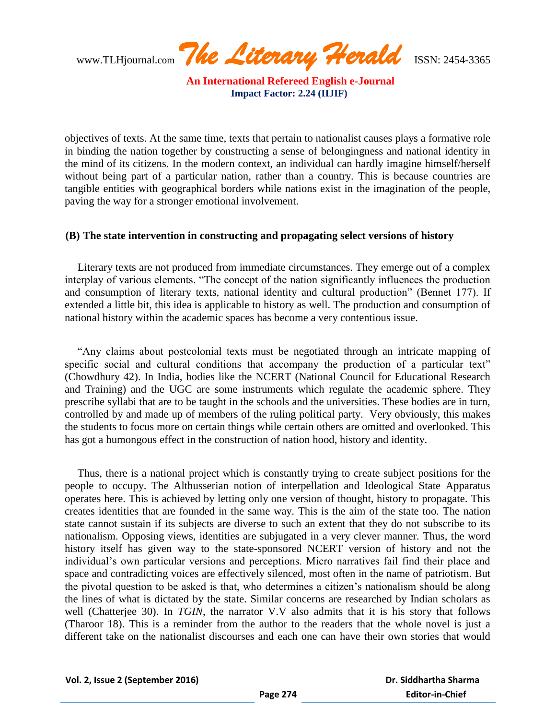www.TLHjournal.com *The Literary Herald*ISSN: 2454-3365

objectives of texts. At the same time, texts that pertain to nationalist causes plays a formative role in binding the nation together by constructing a sense of belongingness and national identity in the mind of its citizens. In the modern context, an individual can hardly imagine himself/herself without being part of a particular nation, rather than a country. This is because countries are tangible entities with geographical borders while nations exist in the imagination of the people, paving the way for a stronger emotional involvement.

#### **(B) The state intervention in constructing and propagating select versions of history**

Literary texts are not produced from immediate circumstances. They emerge out of a complex interplay of various elements. "The concept of the nation significantly influences the production and consumption of literary texts, national identity and cultural production" (Bennet 177). If extended a little bit, this idea is applicable to history as well. The production and consumption of national history within the academic spaces has become a very contentious issue.

"Any claims about postcolonial texts must be negotiated through an intricate mapping of specific social and cultural conditions that accompany the production of a particular text" (Chowdhury 42). In India, bodies like the NCERT (National Council for Educational Research and Training) and the UGC are some instruments which regulate the academic sphere. They prescribe syllabi that are to be taught in the schools and the universities. These bodies are in turn, controlled by and made up of members of the ruling political party. Very obviously, this makes the students to focus more on certain things while certain others are omitted and overlooked. This has got a humongous effect in the construction of nation hood, history and identity.

Thus, there is a national project which is constantly trying to create subject positions for the people to occupy. The Althusserian notion of interpellation and Ideological State Apparatus operates here. This is achieved by letting only one version of thought, history to propagate. This creates identities that are founded in the same way. This is the aim of the state too. The nation state cannot sustain if its subjects are diverse to such an extent that they do not subscribe to its nationalism. Opposing views, identities are subjugated in a very clever manner. Thus, the word history itself has given way to the state-sponsored NCERT version of history and not the individual"s own particular versions and perceptions. Micro narratives fail find their place and space and contradicting voices are effectively silenced, most often in the name of patriotism. But the pivotal question to be asked is that, who determines a citizen"s nationalism should be along the lines of what is dictated by the state. Similar concerns are researched by Indian scholars as well (Chatterjee 30). In *TGIN*, the narrator V.V also admits that it is his story that follows (Tharoor 18). This is a reminder from the author to the readers that the whole novel is just a different take on the nationalist discourses and each one can have their own stories that would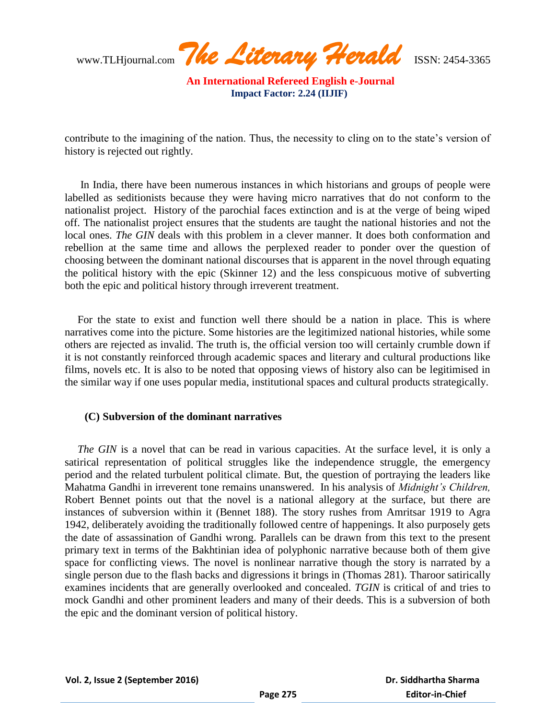www.TLHjournal.com *The Literary Herald*ISSN: 2454-3365

contribute to the imagining of the nation. Thus, the necessity to cling on to the state's version of history is rejected out rightly.

In India, there have been numerous instances in which historians and groups of people were labelled as seditionists because they were having micro narratives that do not conform to the nationalist project. History of the parochial faces extinction and is at the verge of being wiped off. The nationalist project ensures that the students are taught the national histories and not the local ones. *The GIN* deals with this problem in a clever manner. It does both conformation and rebellion at the same time and allows the perplexed reader to ponder over the question of choosing between the dominant national discourses that is apparent in the novel through equating the political history with the epic (Skinner 12) and the less conspicuous motive of subverting both the epic and political history through irreverent treatment.

For the state to exist and function well there should be a nation in place. This is where narratives come into the picture. Some histories are the legitimized national histories, while some others are rejected as invalid. The truth is, the official version too will certainly crumble down if it is not constantly reinforced through academic spaces and literary and cultural productions like films, novels etc. It is also to be noted that opposing views of history also can be legitimised in the similar way if one uses popular media, institutional spaces and cultural products strategically.

#### **(C) Subversion of the dominant narratives**

*The GIN* is a novel that can be read in various capacities. At the surface level, it is only a satirical representation of political struggles like the independence struggle, the emergency period and the related turbulent political climate. But, the question of portraying the leaders like Mahatma Gandhi in irreverent tone remains unanswered. In his analysis of *Midnight's Children,* Robert Bennet points out that the novel is a national allegory at the surface, but there are instances of subversion within it (Bennet 188). The story rushes from Amritsar 1919 to Agra 1942, deliberately avoiding the traditionally followed centre of happenings. It also purposely gets the date of assassination of Gandhi wrong. Parallels can be drawn from this text to the present primary text in terms of the Bakhtinian idea of polyphonic narrative because both of them give space for conflicting views. The novel is nonlinear narrative though the story is narrated by a single person due to the flash backs and digressions it brings in (Thomas 281). Tharoor satirically examines incidents that are generally overlooked and concealed. *TGIN* is critical of and tries to mock Gandhi and other prominent leaders and many of their deeds. This is a subversion of both the epic and the dominant version of political history.

 **Dr. Siddhartha Sharma Editor-in-Chief**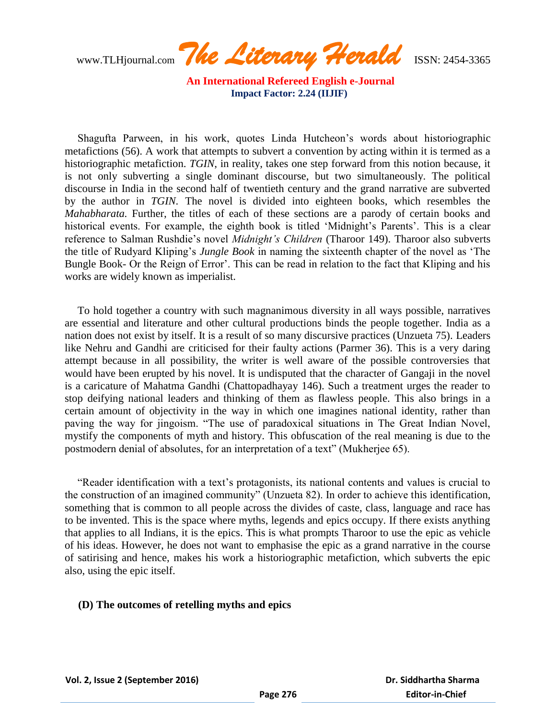www.TLHjournal.com *The Literary Herald*ISSN: 2454-3365

Shagufta Parween, in his work, quotes Linda Hutcheon"s words about historiographic metafictions (56). A work that attempts to subvert a convention by acting within it is termed as a historiographic metafiction. *TGIN*, in reality, takes one step forward from this notion because, it is not only subverting a single dominant discourse, but two simultaneously. The political discourse in India in the second half of twentieth century and the grand narrative are subverted by the author in *TGIN.* The novel is divided into eighteen books, which resembles the *Mahabharata.* Further, the titles of each of these sections are a parody of certain books and historical events. For example, the eighth book is titled 'Midnight's Parents'. This is a clear reference to Salman Rushdie"s novel *Midnight's Children* (Tharoor 149). Tharoor also subverts the title of Rudyard Kliping"s *Jungle Book* in naming the sixteenth chapter of the novel as "The Bungle Book- Or the Reign of Error'. This can be read in relation to the fact that Kliping and his works are widely known as imperialist.

To hold together a country with such magnanimous diversity in all ways possible, narratives are essential and literature and other cultural productions binds the people together. India as a nation does not exist by itself. It is a result of so many discursive practices (Unzueta 75). Leaders like Nehru and Gandhi are criticised for their faulty actions (Parmer 36). This is a very daring attempt because in all possibility, the writer is well aware of the possible controversies that would have been erupted by his novel. It is undisputed that the character of Gangaji in the novel is a caricature of Mahatma Gandhi (Chattopadhayay 146). Such a treatment urges the reader to stop deifying national leaders and thinking of them as flawless people. This also brings in a certain amount of objectivity in the way in which one imagines national identity, rather than paving the way for jingoism. "The use of paradoxical situations in The Great Indian Novel, mystify the components of myth and history. This obfuscation of the real meaning is due to the postmodern denial of absolutes, for an interpretation of a text" (Mukherjee 65).

"Reader identification with a text"s protagonists, its national contents and values is crucial to the construction of an imagined community" (Unzueta 82). In order to achieve this identification, something that is common to all people across the divides of caste, class, language and race has to be invented. This is the space where myths, legends and epics occupy. If there exists anything that applies to all Indians, it is the epics. This is what prompts Tharoor to use the epic as vehicle of his ideas. However, he does not want to emphasise the epic as a grand narrative in the course of satirising and hence, makes his work a historiographic metafiction, which subverts the epic also, using the epic itself.

#### **(D) The outcomes of retelling myths and epics**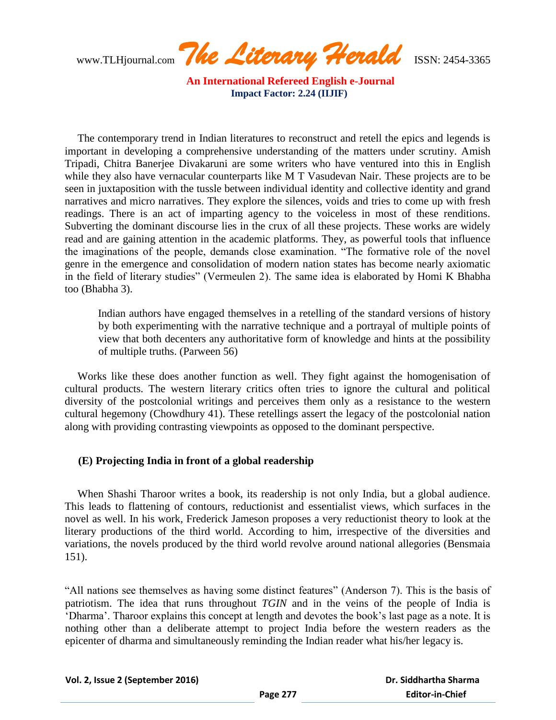www.TLHjournal.com *The Literary Herald*ISSN: 2454-3365

The contemporary trend in Indian literatures to reconstruct and retell the epics and legends is important in developing a comprehensive understanding of the matters under scrutiny. Amish Tripadi, Chitra Banerjee Divakaruni are some writers who have ventured into this in English while they also have vernacular counterparts like M T Vasudevan Nair. These projects are to be seen in juxtaposition with the tussle between individual identity and collective identity and grand narratives and micro narratives. They explore the silences, voids and tries to come up with fresh readings. There is an act of imparting agency to the voiceless in most of these renditions. Subverting the dominant discourse lies in the crux of all these projects. These works are widely read and are gaining attention in the academic platforms. They, as powerful tools that influence the imaginations of the people, demands close examination. "The formative role of the novel genre in the emergence and consolidation of modern nation states has become nearly axiomatic in the field of literary studies" (Vermeulen 2). The same idea is elaborated by Homi K Bhabha too (Bhabha 3).

Indian authors have engaged themselves in a retelling of the standard versions of history by both experimenting with the narrative technique and a portrayal of multiple points of view that both decenters any authoritative form of knowledge and hints at the possibility of multiple truths. (Parween 56)

Works like these does another function as well. They fight against the homogenisation of cultural products. The western literary critics often tries to ignore the cultural and political diversity of the postcolonial writings and perceives them only as a resistance to the western cultural hegemony (Chowdhury 41). These retellings assert the legacy of the postcolonial nation along with providing contrasting viewpoints as opposed to the dominant perspective.

### **(E) Projecting India in front of a global readership**

When Shashi Tharoor writes a book, its readership is not only India, but a global audience. This leads to flattening of contours, reductionist and essentialist views, which surfaces in the novel as well. In his work, Frederick Jameson proposes a very reductionist theory to look at the literary productions of the third world. According to him, irrespective of the diversities and variations, the novels produced by the third world revolve around national allegories (Bensmaia 151).

"All nations see themselves as having some distinct features" (Anderson 7). This is the basis of patriotism. The idea that runs throughout *TGIN* and in the veins of the people of India is "Dharma". Tharoor explains this concept at length and devotes the book"s last page as a note. It is nothing other than a deliberate attempt to project India before the western readers as the epicenter of dharma and simultaneously reminding the Indian reader what his/her legacy is.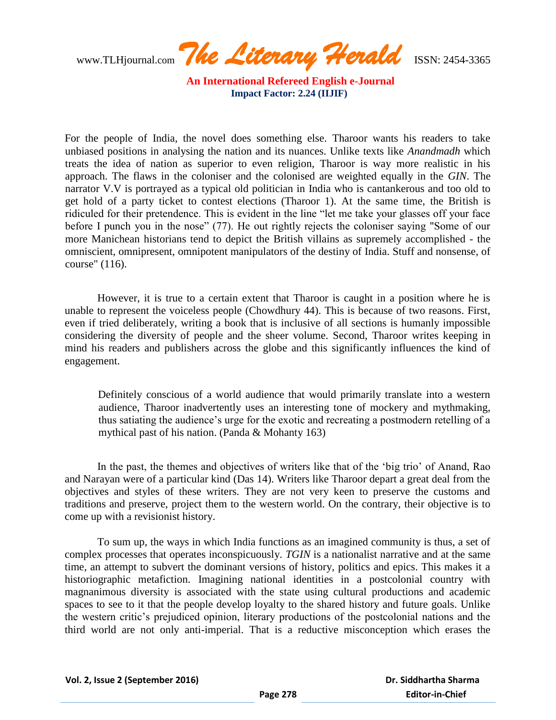www.TLHjournal.com *The Literary Herald*ISSN: 2454-3365

For the people of India, the novel does something else. Tharoor wants his readers to take unbiased positions in analysing the nation and its nuances. Unlike texts like *Anandmadh* which treats the idea of nation as superior to even religion, Tharoor is way more realistic in his approach. The flaws in the coloniser and the colonised are weighted equally in the *GIN*. The narrator V.V is portrayed as a typical old politician in India who is cantankerous and too old to get hold of a party ticket to contest elections (Tharoor 1). At the same time, the British is ridiculed for their pretendence. This is evident in the line "let me take your glasses off your face before I punch you in the nose" (77). He out rightly rejects the coloniser saying "Some of our more Manichean historians tend to depict the British villains as supremely accomplished - the omniscient, omnipresent, omnipotent manipulators of the destiny of India. Stuff and nonsense, of course" (116).

However, it is true to a certain extent that Tharoor is caught in a position where he is unable to represent the voiceless people (Chowdhury 44). This is because of two reasons. First, even if tried deliberately, writing a book that is inclusive of all sections is humanly impossible considering the diversity of people and the sheer volume. Second, Tharoor writes keeping in mind his readers and publishers across the globe and this significantly influences the kind of engagement.

Definitely conscious of a world audience that would primarily translate into a western audience, Tharoor inadvertently uses an interesting tone of mockery and mythmaking, thus satiating the audience"s urge for the exotic and recreating a postmodern retelling of a mythical past of his nation. (Panda & Mohanty 163)

In the past, the themes and objectives of writers like that of the "big trio" of Anand, Rao and Narayan were of a particular kind (Das 14). Writers like Tharoor depart a great deal from the objectives and styles of these writers. They are not very keen to preserve the customs and traditions and preserve, project them to the western world. On the contrary, their objective is to come up with a revisionist history.

To sum up, the ways in which India functions as an imagined community is thus, a set of complex processes that operates inconspicuously. *TGIN* is a nationalist narrative and at the same time, an attempt to subvert the dominant versions of history, politics and epics. This makes it a historiographic metafiction. Imagining national identities in a postcolonial country with magnanimous diversity is associated with the state using cultural productions and academic spaces to see to it that the people develop loyalty to the shared history and future goals. Unlike the western critic"s prejudiced opinion, literary productions of the postcolonial nations and the third world are not only anti-imperial. That is a reductive misconception which erases the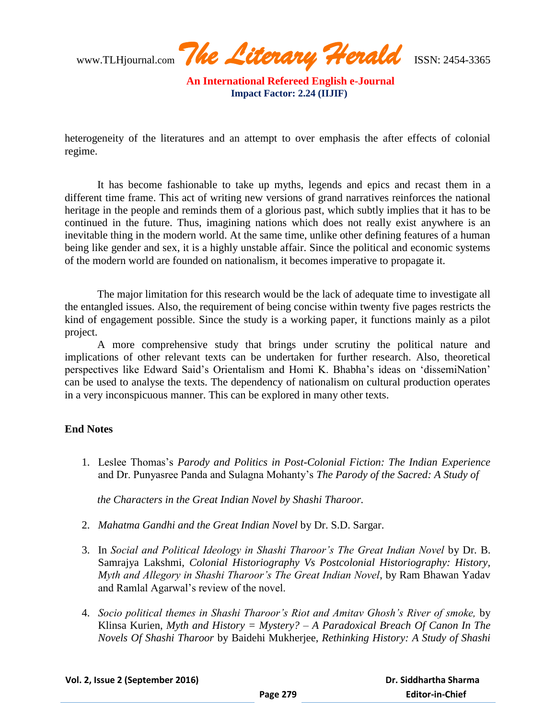www.TLHjournal.com *The Literary Herald*ISSN: 2454-3365

heterogeneity of the literatures and an attempt to over emphasis the after effects of colonial regime.

It has become fashionable to take up myths, legends and epics and recast them in a different time frame. This act of writing new versions of grand narratives reinforces the national heritage in the people and reminds them of a glorious past, which subtly implies that it has to be continued in the future. Thus, imagining nations which does not really exist anywhere is an inevitable thing in the modern world. At the same time, unlike other defining features of a human being like gender and sex, it is a highly unstable affair. Since the political and economic systems of the modern world are founded on nationalism, it becomes imperative to propagate it.

The major limitation for this research would be the lack of adequate time to investigate all the entangled issues. Also, the requirement of being concise within twenty five pages restricts the kind of engagement possible. Since the study is a working paper, it functions mainly as a pilot project.

A more comprehensive study that brings under scrutiny the political nature and implications of other relevant texts can be undertaken for further research. Also, theoretical perspectives like Edward Said"s Orientalism and Homi K. Bhabha"s ideas on "dissemiNation" can be used to analyse the texts. The dependency of nationalism on cultural production operates in a very inconspicuous manner. This can be explored in many other texts.

### **End Notes**

1. Leslee Thomas"s *Parody and Politics in Post-Colonial Fiction: The Indian Experience* and Dr. Punyasree Panda and Sulagna Mohanty"s *The Parody of the Sacred: A Study of* 

*the Characters in the Great Indian Novel by Shashi Tharoor.*

- 2. *Mahatma Gandhi and the Great Indian Novel* by Dr. S.D. Sargar.
- 3. In *Social and Political Ideology in Shashi Tharoor's The Great Indian Novel* by Dr. B. Samrajya Lakshmi, *Colonial Historiography Vs Postcolonial Historiography: History, Myth and Allegory in Shashi Tharoor's The Great Indian Novel*, by Ram Bhawan Yadav and Ramlal Agarwal"s review of the novel.
- 4. *Socio political themes in Shashi Tharoor's Riot and Amitav Ghosh's River of smoke,* by Klinsa Kurien, *Myth and History = Mystery? – A Paradoxical Breach Of Canon In The Novels Of Shashi Tharoor* by Baidehi Mukherjee, *Rethinking History: A Study of Shashi*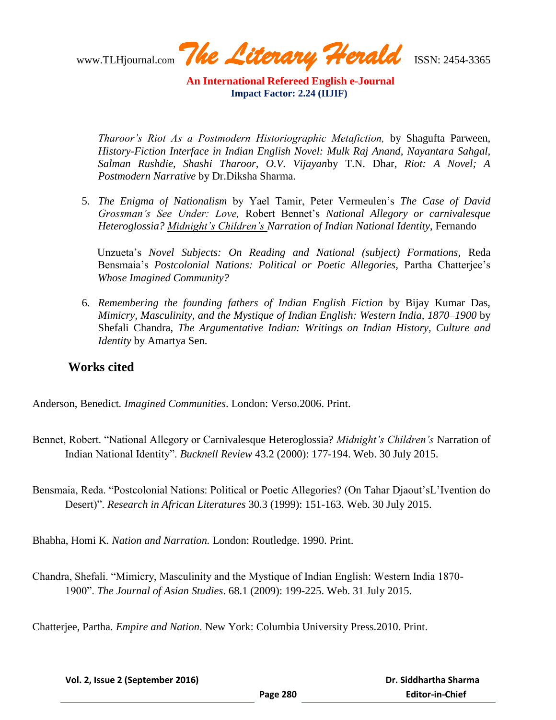www.TLHjournal.com *The Literary Herald*ISSN: 2454-3365

*Tharoor's Riot As a Postmodern Historiographic Metafiction,* by Shagufta Parween, *History-Fiction Interface in Indian English Novel: Mulk Raj Anand, Nayantara Sahgal, Salman Rushdie, Shashi Tharoor, O.V. Vijayan*by T.N. Dhar, *Riot: A Novel; A Postmodern Narrative* by Dr.Diksha Sharma.

5. *The Enigma of Nationalism* by Yael Tamir, Peter Vermeulen"s *The Case of David Grossman's See Under: Love,* Robert Bennet"s *National Allegory or carnivalesque Heteroglossia? Midnight's Children's Narration of Indian National Identity*, Fernando

Unzueta"s *Novel Subjects: On Reading and National (subject) Formations,* Reda Bensmaia's Postcolonial Nations: Political or Poetic Allegories, Partha Chatterjee's *Whose Imagined Community?*

6. *Remembering the founding fathers of Indian English Fiction* by Bijay Kumar Das, *Mimicry, Masculinity, and the Mystique of Indian English: Western India, 1870–1900* by Shefali Chandra, *The Argumentative Indian: Writings on Indian History, Culture and Identity* by Amartya Sen.

## **Works cited**

Anderson, Benedict*. Imagined Communities*. London: Verso.2006. Print.

- Bennet, Robert. "National Allegory or Carnivalesque Heteroglossia? *Midnight's Children's* Narration of Indian National Identity". *Bucknell Review* 43.2 (2000): 177-194. Web. 30 July 2015.
- Bensmaia, Reda. "Postcolonial Nations: Political or Poetic Allegories? (On Tahar Djaout"sL"Ivention do Desert)". *Research in African Literatures* 30.3 (1999): 151-163. Web. 30 July 2015.

Bhabha, Homi K*. Nation and Narration.* London: Routledge. 1990. Print.

Chandra, Shefali. "Mimicry, Masculinity and the Mystique of Indian English: Western India 1870- 1900". *The Journal of Asian Studies*. 68.1 (2009): 199-225. Web. 31 July 2015.

Chatterjee, Partha. *Empire and Nation*. New York: Columbia University Press.2010. Print.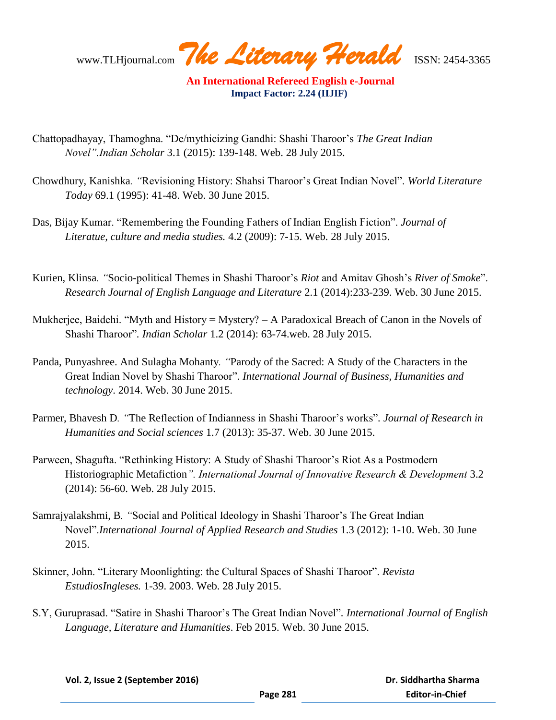www.TLHjournal.com *The Literary Herald*ISSN: 2454-3365

- Chattopadhayay, Thamoghna. "De/mythicizing Gandhi: Shashi Tharoor"s *The Great Indian Novel".Indian Scholar* 3.1 (2015): 139-148. Web. 28 July 2015.
- Chowdhury, Kanishka*. "*Revisioning History: Shahsi Tharoor"s Great Indian Novel". *World Literature Today* 69.1 (1995): 41-48. Web. 30 June 2015.
- Das, Bijay Kumar. "Remembering the Founding Fathers of Indian English Fiction". *Journal of Literatue, culture and media studies.* 4.2 (2009): 7-15. Web. 28 July 2015.
- Kurien, Klinsa*. "*Socio-political Themes in Shashi Tharoor"s *Riot* and Amitav Ghosh"s *River of Smoke*". *Research Journal of English Language and Literature* 2.1 (2014):233-239. Web. 30 June 2015.
- Mukherjee, Baidehi. "Myth and History = Mystery? A Paradoxical Breach of Canon in the Novels of Shashi Tharoor"*. Indian Scholar* 1.2 (2014): 63-74.web. 28 July 2015.
- Panda, Punyashree. And Sulagha Mohanty*. "*Parody of the Sacred: A Study of the Characters in the Great Indian Novel by Shashi Tharoor"*. International Journal of Business, Humanities and technology*. 2014. Web. 30 June 2015.
- Parmer, Bhavesh D. "The Reflection of Indianness in Shashi Tharoor's works". Journal of Research in *Humanities and Social sciences* 1.7 (2013): 35-37. Web. 30 June 2015.
- Parween, Shagufta. "Rethinking History: A Study of Shashi Tharoor's Riot As a Postmodern Historiographic Metafiction*". International Journal of Innovative Research & Development* 3.2 (2014): 56-60. Web. 28 July 2015.
- Samrajyalakshmi, B*. "*Social and Political Ideology in Shashi Tharoor"s The Great Indian Novel".*International Journal of Applied Research and Studies* 1.3 (2012): 1-10. Web. 30 June 2015.
- Skinner, John. "Literary Moonlighting: the Cultural Spaces of Shashi Tharoor". *Revista EstudiosIngleses.* 1-39. 2003. Web. 28 July 2015.
- S.Y, Guruprasad. "Satire in Shashi Tharoor"s The Great Indian Novel"*. International Journal of English Language, Literature and Humanities*. Feb 2015. Web. 30 June 2015.

 **Dr. Siddhartha Sharma Editor-in-Chief**